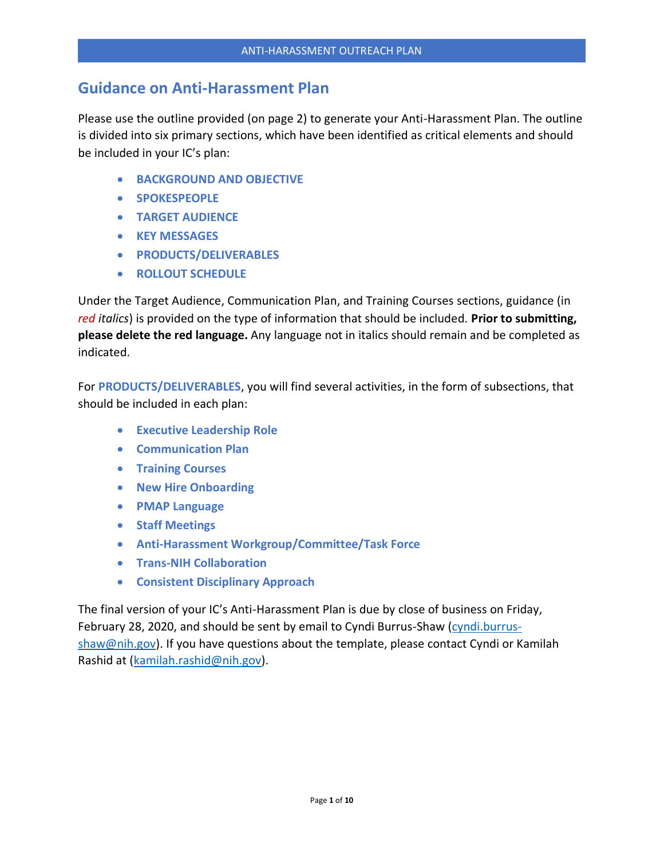## **Guidance on Anti-Harassment Plan**

Please use the outline provided (on page 2) to generate your Anti-Harassment Plan. The outline is divided into six primary sections, which have been identified as critical elements and should be included in your IC's plan:

- **BACKGROUND AND OBJECTIVE**
- **SPOKESPEOPLE**
- **TARGET AUDIENCE**
- **KEY MESSAGES**
- **PRODUCTS/DELIVERABLES**
- **ROLLOUT SCHEDULE**

Under the Target Audience, Communication Plan, and Training Courses sections, guidance (in *red italics*) is provided on the type of information that should be included. **Prior to submitting, please delete the red language.** Any language not in italics should remain and be completed as indicated.

For **PRODUCTS/DELIVERABLES**, you will find several activities, in the form of subsections, that should be included in each plan:

- **Executive Leadership Role**
- **Communication Plan**
- **Training Courses**
- **New Hire Onboarding**
- **PMAP Language**
- **Staff Meetings**
- **Anti-Harassment Workgroup/Committee/Task Force**
- **Trans-NIH Collaboration**
- **Consistent Disciplinary Approach**

The final version of your IC's Anti-Harassment Plan is due by close of business on Friday, February 28, 2020, and should be sent by email to Cyndi Burrus-Shaw [\(cyndi.burrus](mailto:cyndi.burrus-shaw@nih.gov)[shaw@nih.gov\)](mailto:cyndi.burrus-shaw@nih.gov). If you have questions about the template, please contact Cyndi or Kamilah Rashid at [\(kamilah.rashid@nih.gov\)](mailto:kamilah.rashid@nih.gov).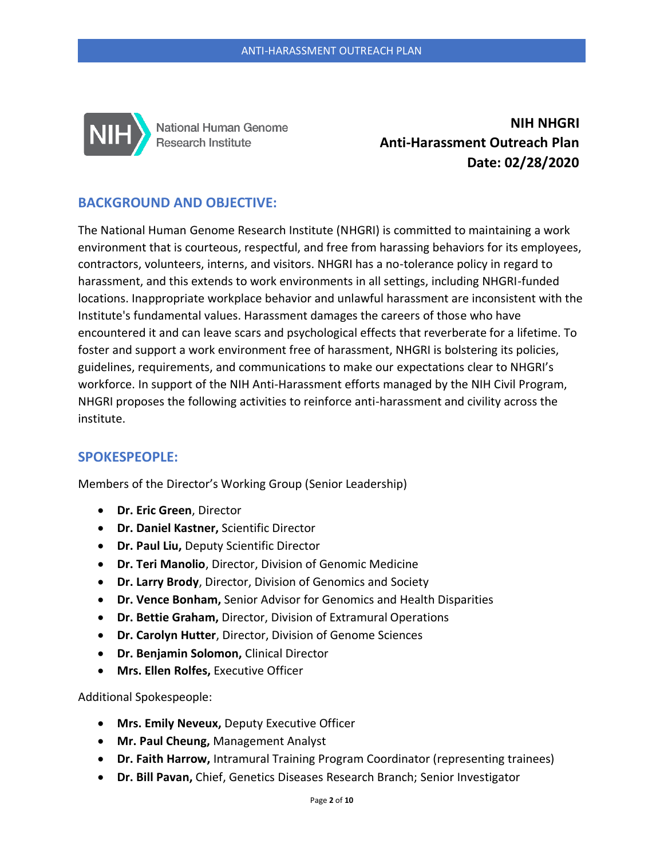

National Human Genome Research Institute

**NIH NHGRI Anti-Harassment Outreach Plan Date: 02/28/2020**

## **BACKGROUND AND OBJECTIVE:**

The National Human Genome Research Institute (NHGRI) is committed to maintaining a work environment that is courteous, respectful, and free from harassing behaviors for its employees, contractors, volunteers, interns, and visitors. NHGRI has a no-tolerance policy in regard to harassment, and this extends to work environments in all settings, including NHGRI-funded locations. Inappropriate workplace behavior and unlawful harassment are inconsistent with the Institute's fundamental values. Harassment damages the careers of those who have encountered it and can leave scars and psychological effects that reverberate for a lifetime. To foster and support a work environment free of harassment, NHGRI is bolstering its policies, guidelines, requirements, and communications to make our expectations clear to NHGRI's workforce. In support of the NIH Anti-Harassment efforts managed by the NIH Civil Program, NHGRI proposes the following activities to reinforce anti-harassment and civility across the institute.

## **SPOKESPEOPLE:**

Members of the Director's Working Group (Senior Leadership)

- **Dr. Eric Green**, Director
- **Dr. Daniel Kastner,** Scientific Director
- **Dr. Paul Liu,** Deputy Scientific Director
- **Dr. Teri Manolio**, Director, Division of Genomic Medicine
- **Dr. Larry Brody**, Director, Division of Genomics and Society
- **Dr. Vence Bonham,** Senior Advisor for Genomics and Health Disparities
- **Dr. Bettie Graham,** Director, Division of Extramural Operations
- **Dr. Carolyn Hutter**, Director, Division of Genome Sciences
- **Dr. Benjamin Solomon,** Clinical Director
- **Mrs. Ellen Rolfes,** Executive Officer

Additional Spokespeople:

- **Mrs. Emily Neveux,** Deputy Executive Officer
- **Mr. Paul Cheung,** Management Analyst
- **Dr. Faith Harrow,** Intramural Training Program Coordinator (representing trainees)
- **Dr. Bill Pavan,** Chief, Genetics Diseases Research Branch; Senior Investigator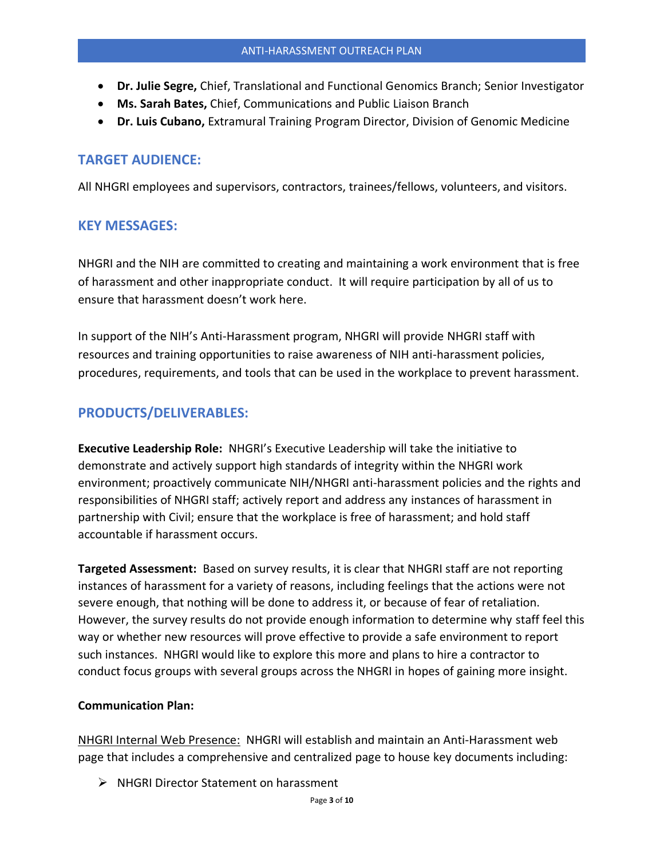- **Dr. Julie Segre,** Chief, Translational and Functional Genomics Branch; Senior Investigator
- **Ms. Sarah Bates,** Chief, Communications and Public Liaison Branch
- **Dr. Luis Cubano,** Extramural Training Program Director, Division of Genomic Medicine

#### **TARGET AUDIENCE:**

All NHGRI employees and supervisors, contractors, trainees/fellows, volunteers, and visitors.

## **KEY MESSAGES:**

NHGRI and the NIH are committed to creating and maintaining a work environment that is free of harassment and other inappropriate conduct. It will require participation by all of us to ensure that harassment doesn't work here.

In support of the NIH's Anti-Harassment program, NHGRI will provide NHGRI staff with resources and training opportunities to raise awareness of NIH anti-harassment policies, procedures, requirements, and tools that can be used in the workplace to prevent harassment.

## **PRODUCTS/DELIVERABLES:**

**Executive Leadership Role:** NHGRI's Executive Leadership will take the initiative to demonstrate and actively support high standards of integrity within the NHGRI work environment; proactively communicate NIH/NHGRI anti-harassment policies and the rights and responsibilities of NHGRI staff; actively report and address any instances of harassment in partnership with Civil; ensure that the workplace is free of harassment; and hold staff accountable if harassment occurs.

**Targeted Assessment:** Based on survey results, it is clear that NHGRI staff are not reporting instances of harassment for a variety of reasons, including feelings that the actions were not severe enough, that nothing will be done to address it, or because of fear of retaliation. However, the survey results do not provide enough information to determine why staff feel this way or whether new resources will prove effective to provide a safe environment to report such instances. NHGRI would like to explore this more and plans to hire a contractor to conduct focus groups with several groups across the NHGRI in hopes of gaining more insight.

#### **Communication Plan:**

NHGRI Internal Web Presence: NHGRI will establish and maintain an Anti-Harassment web page that includes a comprehensive and centralized page to house key documents including:

➢ NHGRI Director Statement on harassment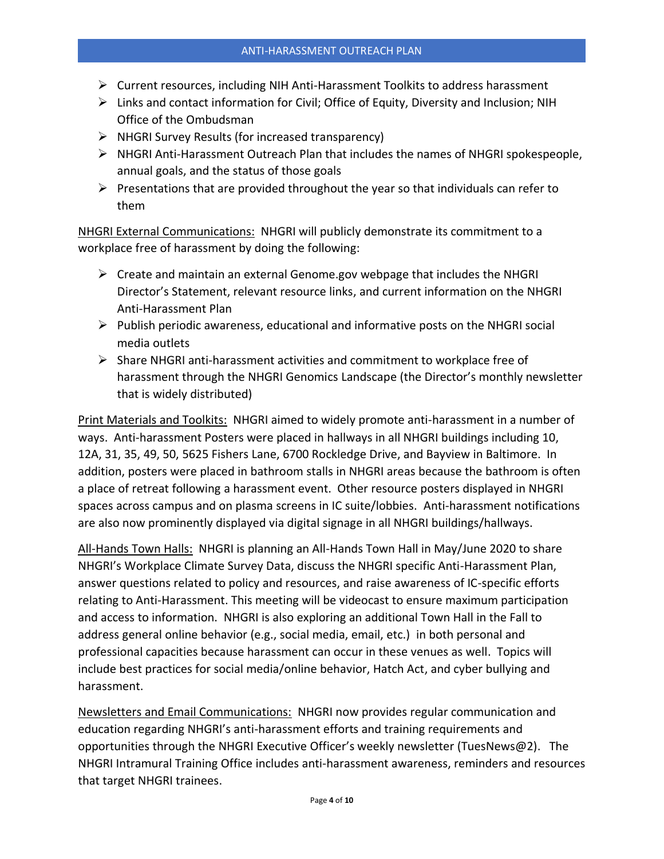- $\triangleright$  Current resources, including NIH Anti-Harassment Toolkits to address harassment
- $\triangleright$  Links and contact information for Civil; Office of Equity, Diversity and Inclusion; NIH Office of the Ombudsman
- ➢ NHGRI Survey Results (for increased transparency)
- $\triangleright$  NHGRI Anti-Harassment Outreach Plan that includes the names of NHGRI spokespeople, annual goals, and the status of those goals
- $\triangleright$  Presentations that are provided throughout the year so that individuals can refer to them

NHGRI External Communications: NHGRI will publicly demonstrate its commitment to a workplace free of harassment by doing the following:

- $\triangleright$  Create and maintain an external Genome.gov webpage that includes the NHGRI Director's Statement, relevant resource links, and current information on the NHGRI Anti-Harassment Plan
- $\triangleright$  Publish periodic awareness, educational and informative posts on the NHGRI social media outlets
- ➢ Share NHGRI anti-harassment activities and commitment to workplace free of harassment through the NHGRI Genomics Landscape (the Director's monthly newsletter that is widely distributed)

Print Materials and Toolkits: NHGRI aimed to widely promote anti-harassment in a number of ways. Anti-harassment Posters were placed in hallways in all NHGRI buildings including 10, 12A, 31, 35, 49, 50, 5625 Fishers Lane, 6700 Rockledge Drive, and Bayview in Baltimore. In addition, posters were placed in bathroom stalls in NHGRI areas because the bathroom is often a place of retreat following a harassment event. Other resource posters displayed in NHGRI spaces across campus and on plasma screens in IC suite/lobbies. Anti-harassment notifications are also now prominently displayed via digital signage in all NHGRI buildings/hallways.

All-Hands Town Halls: NHGRI is planning an All-Hands Town Hall in May/June 2020 to share NHGRI's Workplace Climate Survey Data, discuss the NHGRI specific Anti-Harassment Plan, answer questions related to policy and resources, and raise awareness of IC-specific efforts relating to Anti-Harassment. This meeting will be videocast to ensure maximum participation and access to information. NHGRI is also exploring an additional Town Hall in the Fall to address general online behavior (e.g., social media, email, etc.) in both personal and professional capacities because harassment can occur in these venues as well. Topics will include best practices for social media/online behavior, Hatch Act, and cyber bullying and harassment.

Newsletters and Email Communications: NHGRI now provides regular communication and education regarding NHGRI's anti-harassment efforts and training requirements and opportunities through the NHGRI Executive Officer's weekly newsletter (TuesNews@2). The NHGRI Intramural Training Office includes anti-harassment awareness, reminders and resources that target NHGRI trainees.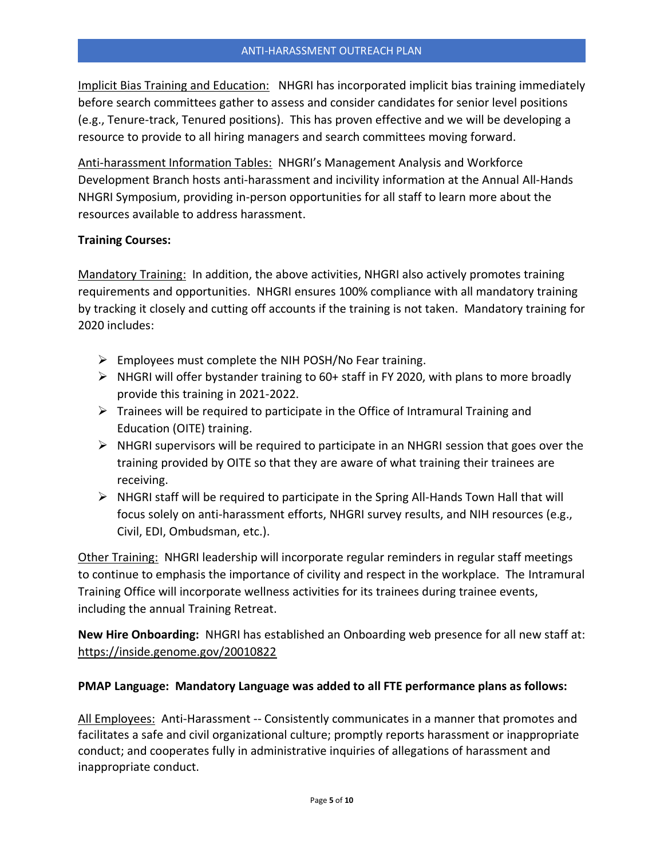Implicit Bias Training and Education: NHGRI has incorporated implicit bias training immediately before search committees gather to assess and consider candidates for senior level positions (e.g., Tenure-track, Tenured positions). This has proven effective and we will be developing a resource to provide to all hiring managers and search committees moving forward.

Anti-harassment Information Tables: NHGRI's Management Analysis and Workforce Development Branch hosts anti-harassment and incivility information at the Annual All-Hands NHGRI Symposium, providing in-person opportunities for all staff to learn more about the resources available to address harassment.

#### **Training Courses:**

Mandatory Training: In addition, the above activities, NHGRI also actively promotes training requirements and opportunities. NHGRI ensures 100% compliance with all mandatory training by tracking it closely and cutting off accounts if the training is not taken. Mandatory training for 2020 includes:

- $\triangleright$  Employees must complete the NIH POSH/No Fear training.
- $\triangleright$  NHGRI will offer bystander training to 60+ staff in FY 2020, with plans to more broadly provide this training in 2021-2022.
- $\triangleright$  Trainees will be required to participate in the Office of Intramural Training and Education (OITE) training.
- $\triangleright$  NHGRI supervisors will be required to participate in an NHGRI session that goes over the training provided by OITE so that they are aware of what training their trainees are receiving.
- $\triangleright$  NHGRI staff will be required to participate in the Spring All-Hands Town Hall that will focus solely on anti-harassment efforts, NHGRI survey results, and NIH resources (e.g., Civil, EDI, Ombudsman, etc.).

Other Training: NHGRI leadership will incorporate regular reminders in regular staff meetings to continue to emphasis the importance of civility and respect in the workplace. The Intramural Training Office will incorporate wellness activities for its trainees during trainee events, including the annual Training Retreat.

**New Hire Onboarding:** NHGRI has established an Onboarding web presence for all new staff at: <https://inside.genome.gov/20010822>

#### **PMAP Language: Mandatory Language was added to all FTE performance plans as follows:**

All Employees: Anti-Harassment -- Consistently communicates in a manner that promotes and facilitates a safe and civil organizational culture; promptly reports harassment or inappropriate conduct; and cooperates fully in administrative inquiries of allegations of harassment and inappropriate conduct.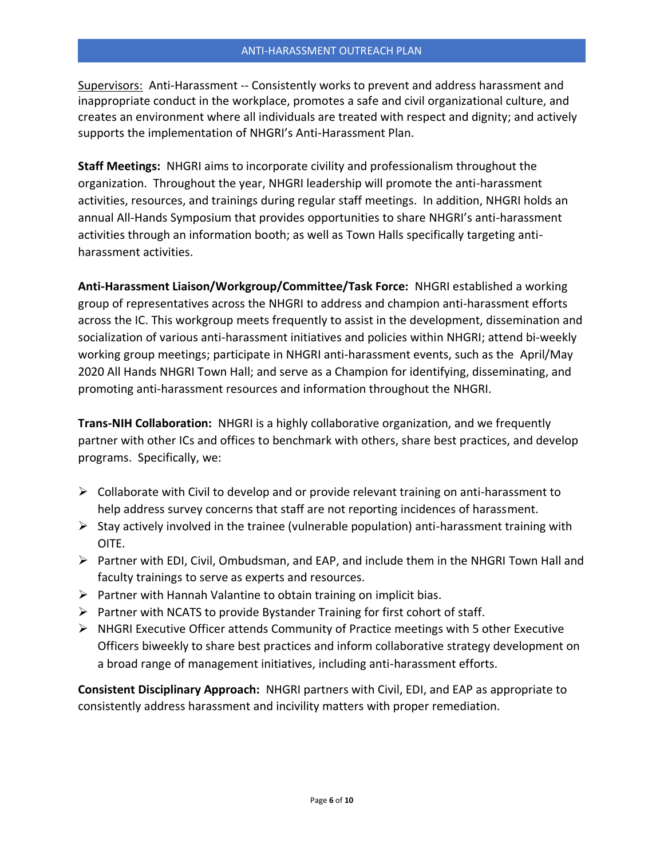Supervisors: Anti-Harassment -- Consistently works to prevent and address harassment and inappropriate conduct in the workplace, promotes a safe and civil organizational culture, and creates an environment where all individuals are treated with respect and dignity; and actively supports the implementation of NHGRI's Anti-Harassment Plan.

**Staff Meetings:** NHGRI aims to incorporate civility and professionalism throughout the organization. Throughout the year, NHGRI leadership will promote the anti-harassment activities, resources, and trainings during regular staff meetings. In addition, NHGRI holds an annual All-Hands Symposium that provides opportunities to share NHGRI's anti-harassment activities through an information booth; as well as Town Halls specifically targeting antiharassment activities.

**Anti-Harassment Liaison/Workgroup/Committee/Task Force:** NHGRI established a working group of representatives across the NHGRI to address and champion anti-harassment efforts across the IC. This workgroup meets frequently to assist in the development, dissemination and socialization of various anti-harassment initiatives and policies within NHGRI; attend bi-weekly working group meetings; participate in NHGRI anti-harassment events, such as the April/May 2020 All Hands NHGRI Town Hall; and serve as a Champion for identifying, disseminating, and promoting anti-harassment resources and information throughout the NHGRI.

**Trans-NIH Collaboration:** NHGRI is a highly collaborative organization, and we frequently partner with other ICs and offices to benchmark with others, share best practices, and develop programs. Specifically, we:

- $\triangleright$  Collaborate with Civil to develop and or provide relevant training on anti-harassment to help address survey concerns that staff are not reporting incidences of harassment.
- $\triangleright$  Stay actively involved in the trainee (vulnerable population) anti-harassment training with OITE.
- ➢ Partner with EDI, Civil, Ombudsman, and EAP, and include them in the NHGRI Town Hall and faculty trainings to serve as experts and resources.
- $\triangleright$  Partner with Hannah Valantine to obtain training on implicit bias.
- $\triangleright$  Partner with NCATS to provide Bystander Training for first cohort of staff.
- $\triangleright$  NHGRI Executive Officer attends Community of Practice meetings with 5 other Executive Officers biweekly to share best practices and inform collaborative strategy development on a broad range of management initiatives, including anti-harassment efforts.

**Consistent Disciplinary Approach:** NHGRI partners with Civil, EDI, and EAP as appropriate to consistently address harassment and incivility matters with proper remediation.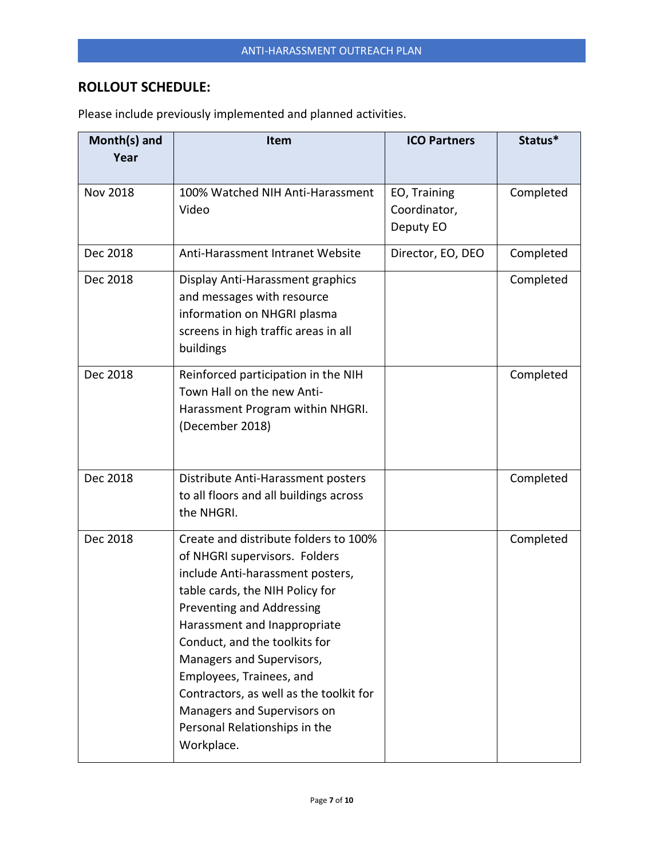# **ROLLOUT SCHEDULE:**

| Month(s) and<br>Year | Item                                                                                                                                                                                                                                                                                                                                                                                                                          | <b>ICO Partners</b>                       | Status*   |
|----------------------|-------------------------------------------------------------------------------------------------------------------------------------------------------------------------------------------------------------------------------------------------------------------------------------------------------------------------------------------------------------------------------------------------------------------------------|-------------------------------------------|-----------|
| <b>Nov 2018</b>      | 100% Watched NIH Anti-Harassment<br>Video                                                                                                                                                                                                                                                                                                                                                                                     | EO, Training<br>Coordinator,<br>Deputy EO | Completed |
| Dec 2018             | Anti-Harassment Intranet Website                                                                                                                                                                                                                                                                                                                                                                                              | Director, EO, DEO                         | Completed |
| Dec 2018             | Display Anti-Harassment graphics<br>and messages with resource<br>information on NHGRI plasma<br>screens in high traffic areas in all<br>buildings                                                                                                                                                                                                                                                                            |                                           | Completed |
| Dec 2018             | Reinforced participation in the NIH<br>Town Hall on the new Anti-<br>Harassment Program within NHGRI.<br>(December 2018)                                                                                                                                                                                                                                                                                                      |                                           | Completed |
| Dec 2018             | Distribute Anti-Harassment posters<br>to all floors and all buildings across<br>the NHGRI.                                                                                                                                                                                                                                                                                                                                    |                                           | Completed |
| Dec 2018             | Create and distribute folders to 100%<br>of NHGRI supervisors. Folders<br>include Anti-harassment posters,<br>table cards, the NIH Policy for<br>Preventing and Addressing<br>Harassment and Inappropriate<br>Conduct, and the toolkits for<br>Managers and Supervisors,<br>Employees, Trainees, and<br>Contractors, as well as the toolkit for<br>Managers and Supervisors on<br>Personal Relationships in the<br>Workplace. |                                           | Completed |

Please include previously implemented and planned activities.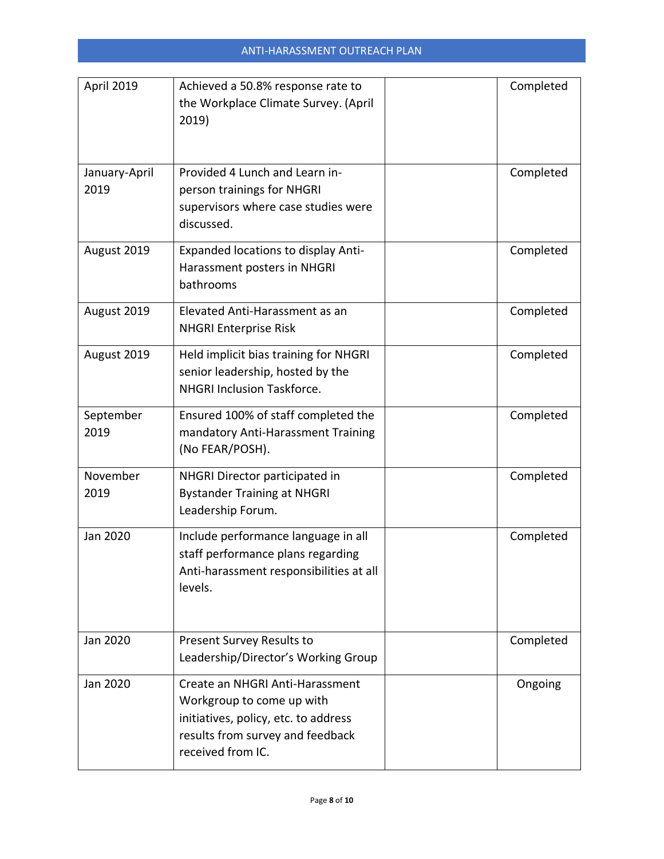| April 2019            | Achieved a 50.8% response rate to<br>the Workplace Climate Survey. (April<br>2019)                                                                            | Completed |
|-----------------------|---------------------------------------------------------------------------------------------------------------------------------------------------------------|-----------|
| January-April<br>2019 | Provided 4 Lunch and Learn in-<br>person trainings for NHGRI<br>supervisors where case studies were<br>discussed.                                             | Completed |
| August 2019           | <b>Expanded locations to display Anti-</b><br>Harassment posters in NHGRI<br>bathrooms                                                                        | Completed |
| August 2019           | Elevated Anti-Harassment as an<br><b>NHGRI Enterprise Risk</b>                                                                                                | Completed |
| August 2019           | Held implicit bias training for NHGRI<br>senior leadership, hosted by the<br><b>NHGRI Inclusion Taskforce.</b>                                                | Completed |
| September<br>2019     | Ensured 100% of staff completed the<br>mandatory Anti-Harassment Training<br>(No FEAR/POSH).                                                                  | Completed |
| November<br>2019      | NHGRI Director participated in<br><b>Bystander Training at NHGRI</b><br>Leadership Forum.                                                                     | Completed |
| Jan 2020              | Include performance language in all<br>staff performance plans regarding<br>Anti-harassment responsibilities at all<br>levels.                                | Completed |
| Jan 2020              | Present Survey Results to<br>Leadership/Director's Working Group                                                                                              | Completed |
| Jan 2020              | Create an NHGRI Anti-Harassment<br>Workgroup to come up with<br>initiatives, policy, etc. to address<br>results from survey and feedback<br>received from IC. | Ongoing   |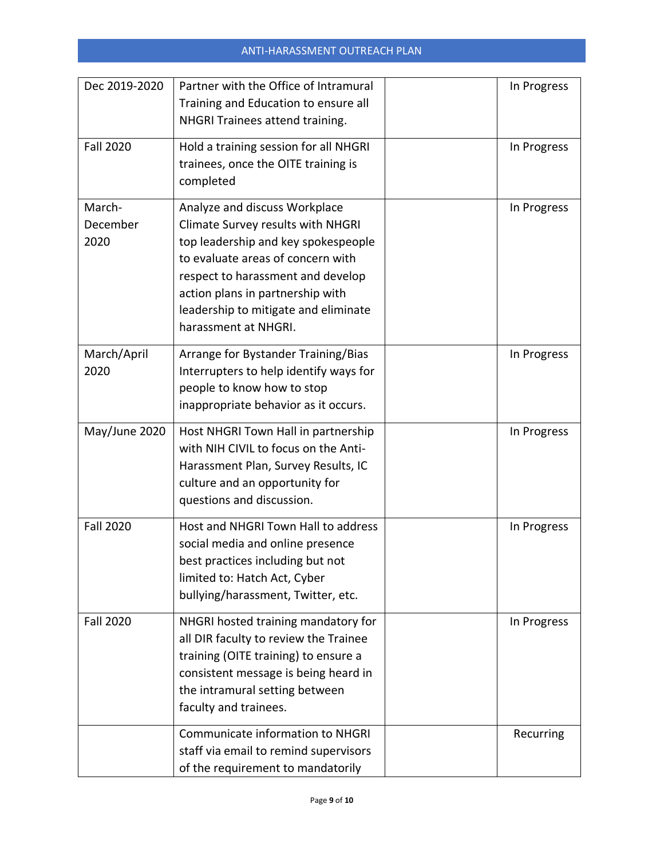| Dec 2019-2020              | Partner with the Office of Intramural<br>Training and Education to ensure all<br>NHGRI Trainees attend training.                                                                                                                                                                        | In Progress |
|----------------------------|-----------------------------------------------------------------------------------------------------------------------------------------------------------------------------------------------------------------------------------------------------------------------------------------|-------------|
| <b>Fall 2020</b>           | Hold a training session for all NHGRI<br>trainees, once the OITE training is<br>completed                                                                                                                                                                                               | In Progress |
| March-<br>December<br>2020 | Analyze and discuss Workplace<br>Climate Survey results with NHGRI<br>top leadership and key spokespeople<br>to evaluate areas of concern with<br>respect to harassment and develop<br>action plans in partnership with<br>leadership to mitigate and eliminate<br>harassment at NHGRI. | In Progress |
| March/April<br>2020        | Arrange for Bystander Training/Bias<br>Interrupters to help identify ways for<br>people to know how to stop<br>inappropriate behavior as it occurs.                                                                                                                                     | In Progress |
| May/June 2020              | Host NHGRI Town Hall in partnership<br>with NIH CIVIL to focus on the Anti-<br>Harassment Plan, Survey Results, IC<br>culture and an opportunity for<br>questions and discussion.                                                                                                       | In Progress |
| <b>Fall 2020</b>           | Host and NHGRI Town Hall to address<br>social media and online presence<br>best practices including but not<br>limited to: Hatch Act, Cyber<br>bullying/harassment, Twitter, etc.                                                                                                       | In Progress |
| <b>Fall 2020</b>           | NHGRI hosted training mandatory for<br>all DIR faculty to review the Trainee<br>training (OITE training) to ensure a<br>consistent message is being heard in<br>the intramural setting between<br>faculty and trainees.                                                                 | In Progress |
|                            | <b>Communicate information to NHGRI</b><br>staff via email to remind supervisors<br>of the requirement to mandatorily                                                                                                                                                                   | Recurring   |